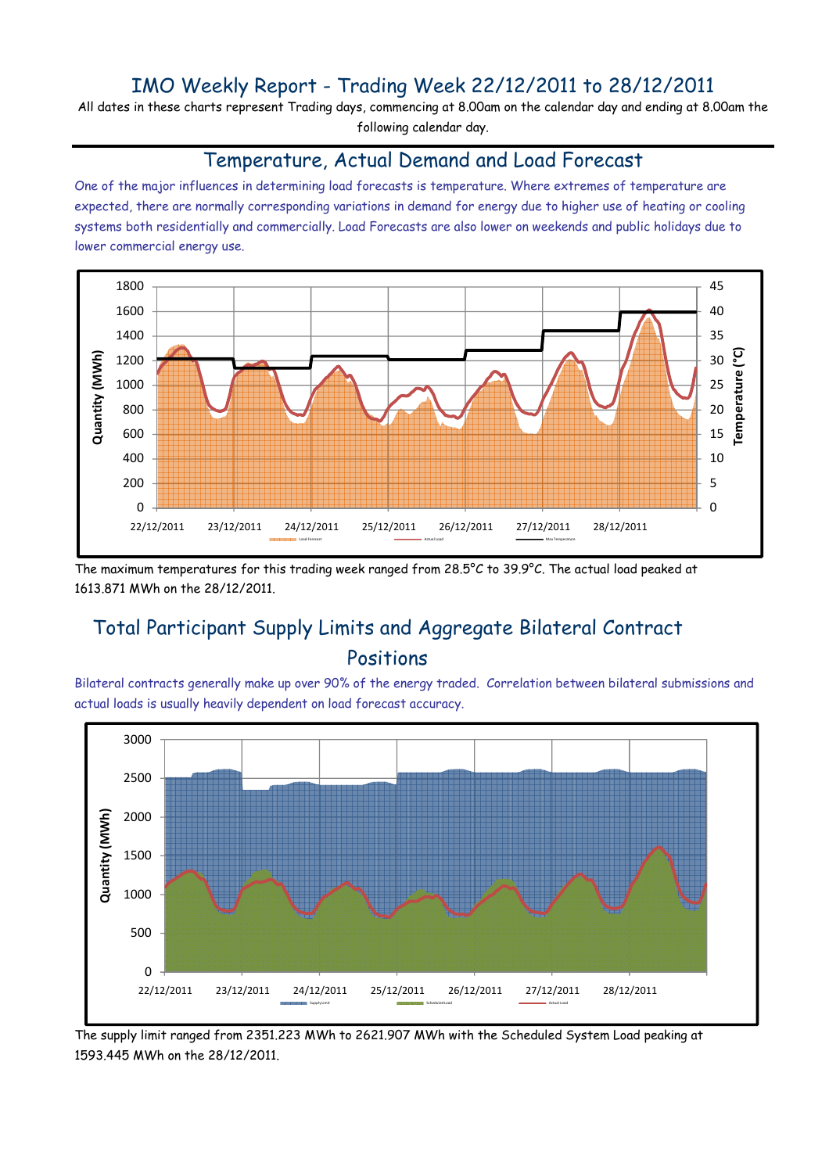## IMO Weekly Report - Trading Week 22/12/2011 to 28/12/2011

All dates in these charts represent Trading days, commencing at 8.00am on the calendar day and ending at 8.00am the following calendar day.

#### Temperature, Actual Demand and Load Forecast

One of the major influences in determining load forecasts is temperature. Where extremes of temperature are expected, there are normally corresponding variations in demand for energy due to higher use of heating or cooling systems both residentially and commercially. Load Forecasts are also lower on weekends and public holidays due to lower commercial energy use.



The maximum temperatures for this trading week ranged from 28.5°C to 39.9°C. The actual load peaked at 1613.871 MWh on the 28/12/2011.

# Total Participant Supply Limits and Aggregate Bilateral Contract Positions

Bilateral contracts generally make up over 90% of the energy traded. Correlation between bilateral submissions and actual loads is usually heavily dependent on load forecast accuracy.



The supply limit ranged from 2351.223 MWh to 2621.907 MWh with the Scheduled System Load peaking at 1593.445 MWh on the 28/12/2011.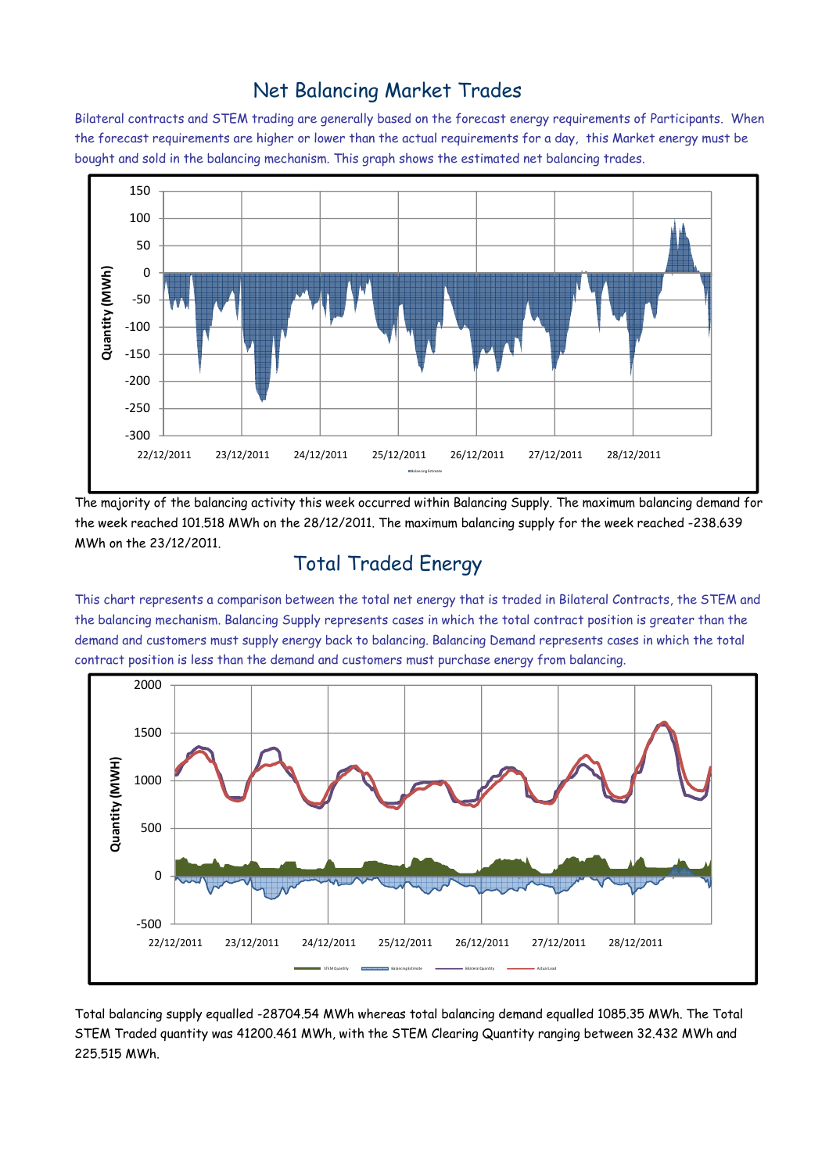### Net Balancing Market Trades

Bilateral contracts and STEM trading are generally based on the forecast energy requirements of Participants. When the forecast requirements are higher or lower than the actual requirements for a day, this Market energy must be bought and sold in the balancing mechanism. This graph shows the estimated net balancing trades.



The majority of the balancing activity this week occurred within Balancing Supply. The maximum balancing demand for the week reached 101.518 MWh on the 28/12/2011. The maximum balancing supply for the week reached -238.639 MWh on the 23/12/2011.

# Total Traded Energy

This chart represents a comparison between the total net energy that is traded in Bilateral Contracts, the STEM and the balancing mechanism. Balancing Supply represents cases in which the total contract position is greater than the demand and customers must supply energy back to balancing. Balancing Demand represents cases in which the total contract position is less than the demand and customers must purchase energy from balancing.



Total balancing supply equalled -28704.54 MWh whereas total balancing demand equalled 1085.35 MWh. The Total STEM Traded quantity was 41200.461 MWh, with the STEM Clearing Quantity ranging between 32.432 MWh and 225.515 MWh.